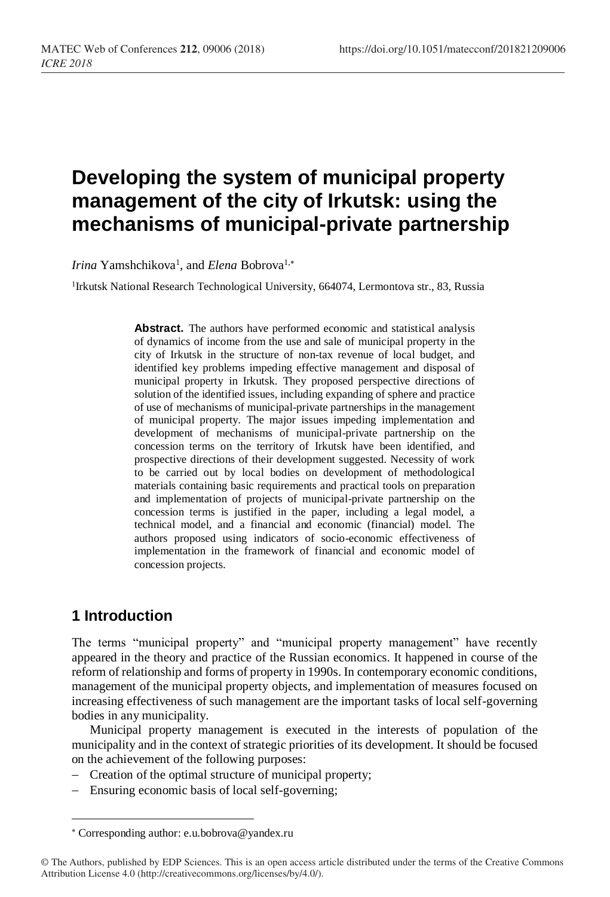# **Developing the system of municipal property management of the city of Irkutsk: using the mechanisms of municipal-private partnership**

Irina Yamshchikova<sup>1</sup>, and *Elena* Bobrova<sup>1,\*</sup>

<sup>1</sup>Irkutsk National Research Technological University, 664074, Lermontova str., 83, Russia

**Abstract.** The authors have performed economic and statistical analysis of dynamics of income from the use and sale of municipal property in the city of Irkutsk in the structure of non-tax revenue of local budget, and identified key problems impeding effective management and disposal of municipal property in Irkutsk. They proposed perspective directions of solution of the identified issues, including expanding of sphere and practice of use of mechanisms of municipal-private partnerships in the management of municipal property. The major issues impeding implementation and development of mechanisms of municipal-private partnership on the concession terms on the territory of Irkutsk have been identified, and prospective directions of their development suggested. Necessity of work to be carried out by local bodies on development of methodological materials containing basic requirements and practical tools on preparation and implementation of projects of municipal-private partnership on the concession terms is justified in the paper, including a legal model, a technical model, and a financial and economic (financial) model. The authors proposed using indicators of socio-economic effectiveness of implementation in the framework of financial and economic model of concession projects.

## **1 Introduction**

 $\overline{a}$ 

The terms "municipal property" and "municipal property management" have recently appeared in the theory and practice of the Russian economics. It happened in course of the reform of relationship and forms of property in 1990s. In contemporary economic conditions, management of the municipal property objects, and implementation of measures focused on increasing effectiveness of such management are the important tasks of local self-governing bodies in any municipality.

Municipal property management is executed in the interests of population of the municipality and in the context of strategic priorities of its development. It should be focused on the achievement of the following purposes:

- − Creation of the optimal structure of municipal property;
- − Ensuring economic basis of local self-governing;

Corresponding author[: e.u.bobrova@yandex.ru](mailto:e.u.bobrova@yandex.ru)

<sup>©</sup> The Authors, published by EDP Sciences. This is an open access article distributed under the terms of the Creative Commons Attribution License 4.0 (http://creativecommons.org/licenses/by/4.0/).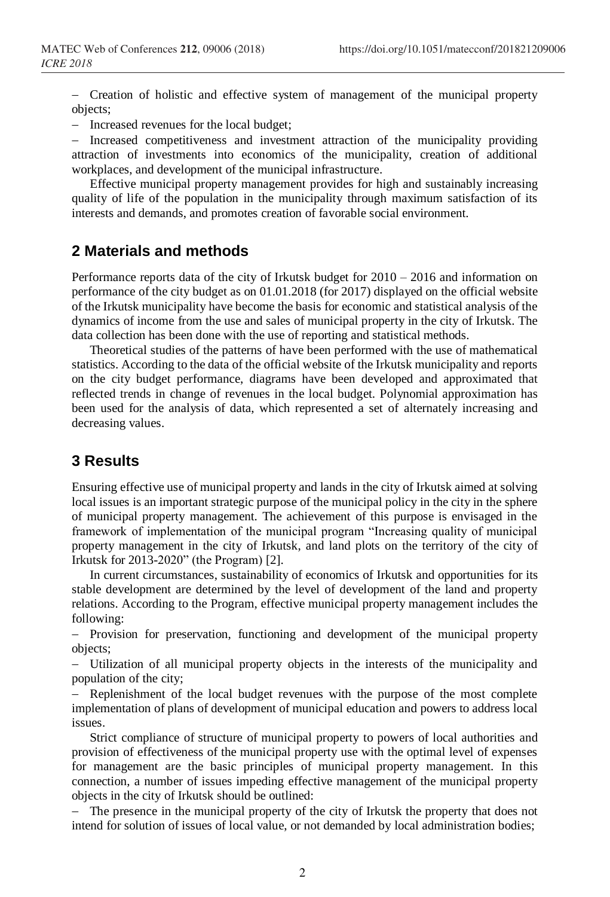− Creation of holistic and effective system of management of the municipal property objects;

− Increased revenues for the local budget;

− Increased competitiveness and investment attraction of the municipality providing attraction of investments into economics of the municipality, creation of additional workplaces, and development of the municipal infrastructure.

Effective municipal property management provides for high and sustainably increasing quality of life of the population in the municipality through maximum satisfaction of its interests and demands, and promotes creation of favorable social environment.

## **2 Materials and methods**

Performance reports data of the city of Irkutsk budget for 2010 – 2016 and information on performance of the city budget as on 01.01.2018 (for 2017) displayed on the official website of the Irkutsk municipality have become the basis for economic and statistical analysis of the dynamics of income from the use and sales of municipal property in the city of Irkutsk. The data collection has been done with the use of reporting and statistical methods.

Theoretical studies of the patterns of have been performed with the use of mathematical statistics. According to the data of the official website of the Irkutsk municipality and reports on the city budget performance, diagrams have been developed and approximated that reflected trends in change of revenues in the local budget. Polynomial approximation has been used for the analysis of data, which represented a set of alternately increasing and decreasing values.

#### **3 Results**

Ensuring effective use of municipal property and lands in the city of Irkutsk aimed at solving local issues is an important strategic purpose of the municipal policy in the city in the sphere of municipal property management. The achievement of this purpose is envisaged in the framework of implementation of the municipal program "Increasing quality of municipal property management in the city of Irkutsk, and land plots on the territory of the city of Irkutsk for 2013-2020" (the Program) [2].

In current circumstances, sustainability of economics of Irkutsk and opportunities for its stable development are determined by the level of development of the land and property relations. According to the Program, effective municipal property management includes the following:

− Provision for preservation, functioning and development of the municipal property objects;

− Utilization of all municipal property objects in the interests of the municipality and population of the city;

− Replenishment of the local budget revenues with the purpose of the most complete implementation of plans of development of municipal education and powers to address local issues.

Strict compliance of structure of municipal property to powers of local authorities and provision of effectiveness of the municipal property use with the optimal level of expenses for management are the basic principles of municipal property management. In this connection, a number of issues impeding effective management of the municipal property objects in the city of Irkutsk should be outlined:

− The presence in the municipal property of the city of Irkutsk the property that does not intend for solution of issues of local value, or not demanded by local administration bodies;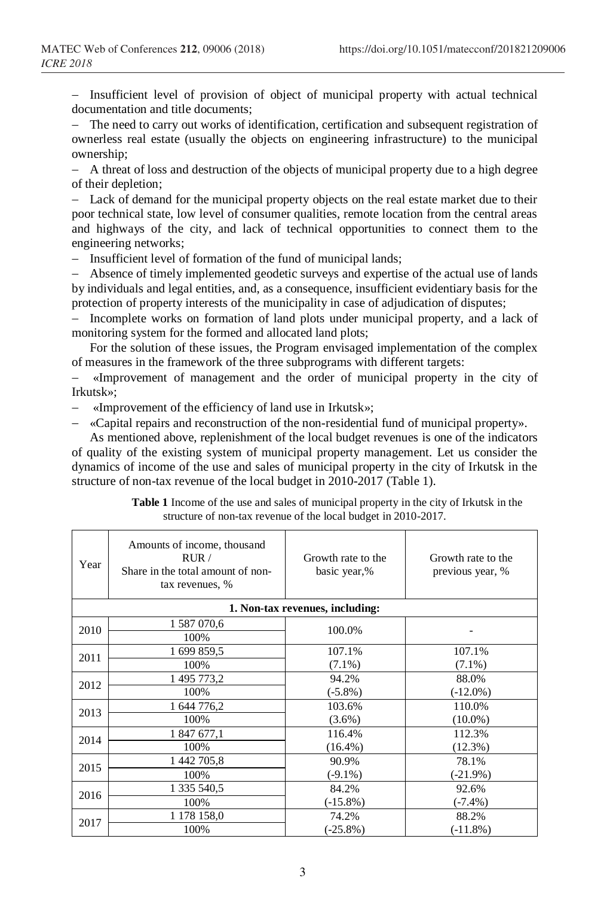− Insufficient level of provision of object of municipal property with actual technical documentation and title documents;

− The need to carry out works of identification, certification and subsequent registration of ownerless real estate (usually the objects on engineering infrastructure) to the municipal ownership;

− A threat of loss and destruction of the objects of municipal property due to a high degree of their depletion;

− Lack of demand for the municipal property objects on the real estate market due to their poor technical state, low level of consumer qualities, remote location from the central areas and highways of the city, and lack of technical opportunities to connect them to the engineering networks;

− Insufficient level of formation of the fund of municipal lands;

− Absence of timely implemented geodetic surveys and expertise of the actual use of lands by individuals and legal entities, and, as a consequence, insufficient evidentiary basis for the protection of property interests of the municipality in case of adjudication of disputes;

− Incomplete works on formation of land plots under municipal property, and a lack of monitoring system for the formed and allocated land plots;

For the solution of these issues, the Program envisaged implementation of the complex of measures in the framework of the three subprograms with different targets:

− «Improvement of management and the order of municipal property in the city of Irkutsk»;

− «Improvement of the efficiency of land use in Irkutsk»;

− «Capital repairs and reconstruction of the non-residential fund of municipal property».

As mentioned above, replenishment of the local budget revenues is one of the indicators of quality of the existing system of municipal property management. Let us consider the dynamics of income of the use and sales of municipal property in the city of Irkutsk in the structure of non-tax revenue of the local budget in 2010-2017 (Table 1).

| Year                            | Amounts of income, thousand<br>RUR/<br>Share in the total amount of non-<br>tax revenues, % | Growth rate to the<br>basic year,% | Growth rate to the<br>previous year, % |  |
|---------------------------------|---------------------------------------------------------------------------------------------|------------------------------------|----------------------------------------|--|
| 1. Non-tax revenues, including: |                                                                                             |                                    |                                        |  |
| 2010                            | 1 587 070,6                                                                                 | 100.0%                             |                                        |  |
|                                 | 100%                                                                                        |                                    |                                        |  |
| 2011                            | 1 699 859,5                                                                                 | 107.1%                             | 107.1%                                 |  |
|                                 | 100%                                                                                        | $(7.1\%)$                          | $(7.1\%)$                              |  |
| 2012                            | 1 495 773,2                                                                                 | 94.2%                              | 88.0%                                  |  |
|                                 | 100%                                                                                        | $(-5.8\%)$                         | $(-12.0\%)$                            |  |
| 2013                            | 1 644 776,2                                                                                 | 103.6%                             | 110.0%                                 |  |
|                                 | 100%                                                                                        | $(3.6\%)$                          | $(10.0\%)$                             |  |
| 2014                            | 1 847 677,1                                                                                 | 116.4%                             | 112.3%                                 |  |
|                                 | 100%                                                                                        | $(16.4\%)$                         | $(12.3\%)$                             |  |
| 2015                            | 1442 705,8                                                                                  | 90.9%                              | 78.1%                                  |  |
|                                 | 100%                                                                                        | $(-9.1\%)$                         | $(-21.9\%)$                            |  |
| 2016                            | 1 335 540,5                                                                                 | 84.2%                              | 92.6%                                  |  |
|                                 | 100%                                                                                        | $(-15.8\%)$                        | $(-7.4\%)$                             |  |
| 2017                            | 1 178 158,0                                                                                 | 74.2%                              | 88.2%                                  |  |
|                                 | 100%                                                                                        | $(-25.8\%)$                        | $(-11.8\%)$                            |  |

**Table 1** Income of the use and sales of municipal property in the city of Irkutsk in the structure of non-tax revenue of the local budget in 2010-2017.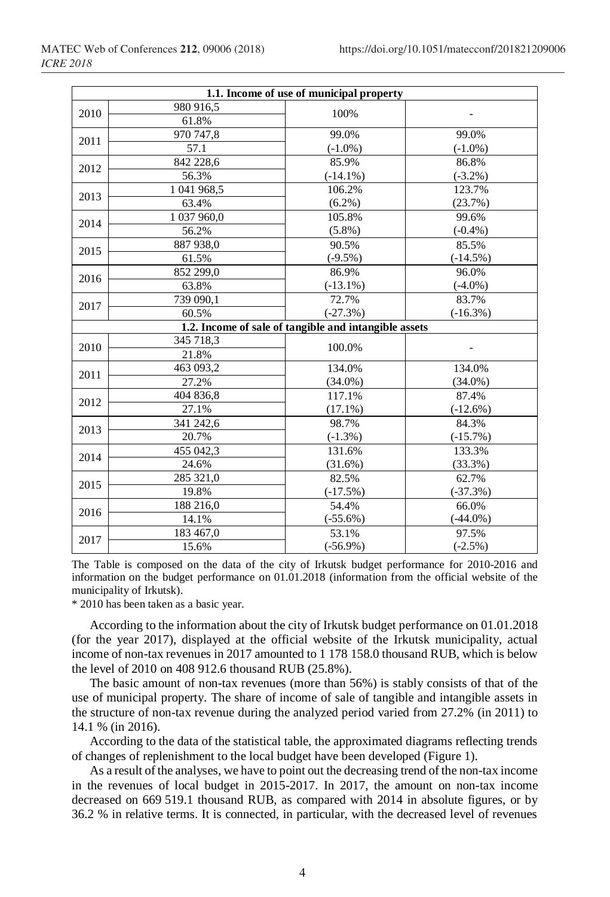| 1.1. Income of use of municipal property              |             |             |             |  |
|-------------------------------------------------------|-------------|-------------|-------------|--|
| 2010                                                  | 980 916,5   | 100%        |             |  |
|                                                       | 61.8%       |             |             |  |
| 2011                                                  | 970 747,8   | 99.0%       | 99.0%       |  |
|                                                       | 57.1        | $(-1.0\%)$  | $(-1.0\%)$  |  |
| 2012                                                  | 842 228,6   | 85.9%       | 86.8%       |  |
|                                                       | 56.3%       | $(-14.1\%)$ | $(-3.2\%)$  |  |
| 2013                                                  | 1 041 968,5 | 106.2%      | 123.7%      |  |
|                                                       | 63.4%       | $(6.2\%)$   | (23.7%)     |  |
| 2014                                                  | 1 037 960,0 | 105.8%      | 99.6%       |  |
|                                                       | 56.2%       | $(5.8\%)$   | $(-0.4\%)$  |  |
| 2015                                                  | 887 938,0   | 90.5%       | 85.5%       |  |
|                                                       | 61.5%       | $(-9.5\%)$  | $(-14.5%)$  |  |
| 2016                                                  | 852 299,0   | 86.9%       | 96.0%       |  |
|                                                       | 63.8%       | $(-13.1\%)$ | $(-4.0\%)$  |  |
| 2017                                                  | 739 090,1   | 72.7%       | 83.7%       |  |
|                                                       | 60.5%       | $(-27.3%)$  | $(-16.3%)$  |  |
| 1.2. Income of sale of tangible and intangible assets |             |             |             |  |
| 2010                                                  | 345 718,3   | 100.0%      |             |  |
|                                                       | 21.8%       |             |             |  |
| 2011                                                  | 463 093,2   | 134.0%      | 134.0%      |  |
|                                                       | 27.2%       | $(34.0\%)$  | $(34.0\%)$  |  |
| 2012                                                  | 404 836.8   | 117.1%      | 87.4%       |  |
|                                                       | 27.1%       | $(17.1\%)$  | $(-12.6%)$  |  |
| 2013                                                  | 341 242,6   | 98.7%       | 84.3%       |  |
|                                                       | 20.7%       | $(-1.3%)$   | $(-15.7%)$  |  |
| 2014                                                  | 455 042,3   | 131.6%      | 133.3%      |  |
|                                                       | 24.6%       | (31.6%)     | $(33.3\%)$  |  |
|                                                       | 285 321,0   | 82.5%       | 62.7%       |  |
| 2015                                                  | 19.8%       | $(-17.5%)$  | $(-37.3%)$  |  |
| 2016                                                  | 188 216,0   | 54.4%       | 66.0%       |  |
|                                                       | 14.1%       | $(-55.6%)$  | $(-44.0\%)$ |  |
| 2017                                                  | 183 467,0   | 53.1%       | 97.5%       |  |
|                                                       | 15.6%       | $(-56.9\%)$ | $(-2.5%)$   |  |

The Table is composed on the data of the city of Irkutsk budget performance for 2010-2016 and information on the budget performance on 01.01.2018 (information from the official website of the municipality of Irkutsk).

\* 2010 has been taken as a basic year.

According to the information about the city of Irkutsk budget performance on 01.01.2018 (for the year 2017), displayed at the official website of the Irkutsk municipality, actual income of non-tax revenues in 2017 amounted to 1 178 158.0 thousand RUB, which is below the level of 2010 on 408 912.6 thousand RUB (25.8%).

The basic amount of non-tax revenues (more than 56%) is stably consists of that of the use of municipal property. The share of income of sale of tangible and intangible assets in the structure of non-tax revenue during the analyzed period varied from 27.2% (in 2011) to 14.1 % (in 2016).

According to the data of the statistical table, the approximated diagrams reflecting trends of changes of replenishment to the local budget have been developed (Figure 1).

As a result of the analyses, we have to point out the decreasing trend of the non-tax income in the revenues of local budget in 2015-2017. In 2017, the amount on non-tax income decreased on 669 519.1 thousand RUB, as compared with 2014 in absolute figures, or by 36.2 % in relative terms. It is connected, in particular, with the decreased level of revenues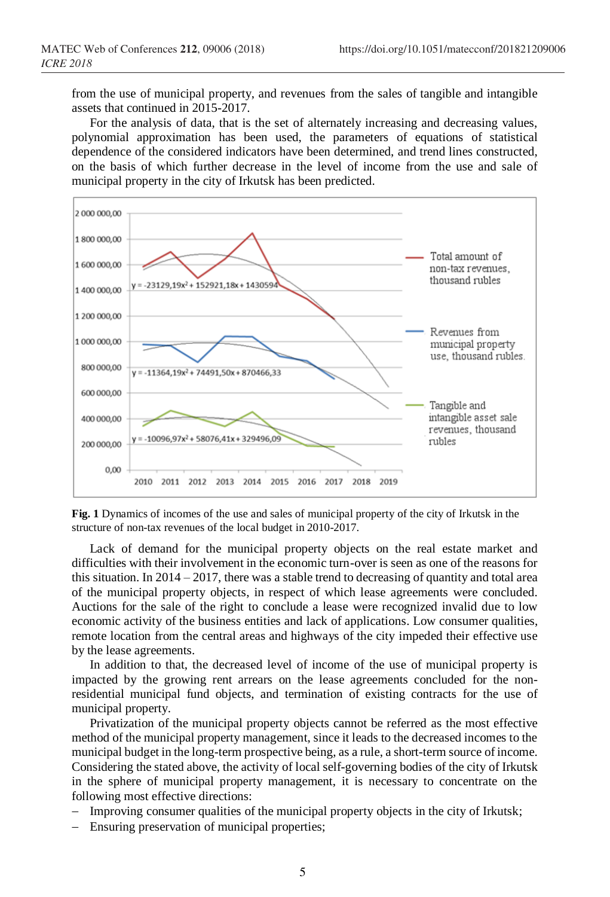from the use of municipal property, and revenues from the sales of tangible and intangible assets that continued in 2015-2017.

For the analysis of data, that is the set of alternately increasing and decreasing values, polynomial approximation has been used, the parameters of equations of statistical dependence of the considered indicators have been determined, and trend lines constructed, on the basis of which further decrease in the level of income from the use and sale of municipal property in the city of Irkutsk has been predicted.



**Fig. 1** Dynamics of incomes of the use and sales of municipal property of the city of Irkutsk in the structure of non-tax revenues of the local budget in 2010-2017.

Lack of demand for the municipal property objects on the real estate market and difficulties with their involvement in the economic turn-over is seen as one of the reasons for this situation. In  $2014 - 2017$ , there was a stable trend to decreasing of quantity and total area of the municipal property objects, in respect of which lease agreements were concluded. Auctions for the sale of the right to conclude a lease were recognized invalid due to low economic activity of the business entities and lack of applications. Low consumer qualities, remote location from the central areas and highways of the city impeded their effective use by the lease agreements.

In addition to that, the decreased level of income of the use of municipal property is impacted by the growing rent arrears on the lease agreements concluded for the nonresidential municipal fund objects, and termination of existing contracts for the use of municipal property.

Privatization of the municipal property objects cannot be referred as the most effective method of the municipal property management, since it leads to the decreased incomes to the municipal budget in the long-term prospective being, as a rule, a short-term source of income. Considering the stated above, the activity of local self-governing bodies of the city of Irkutsk in the sphere of municipal property management, it is necessary to concentrate on the following most effective directions:

- − Improving consumer qualities of the municipal property objects in the city of Irkutsk;
- − Ensuring preservation of municipal properties;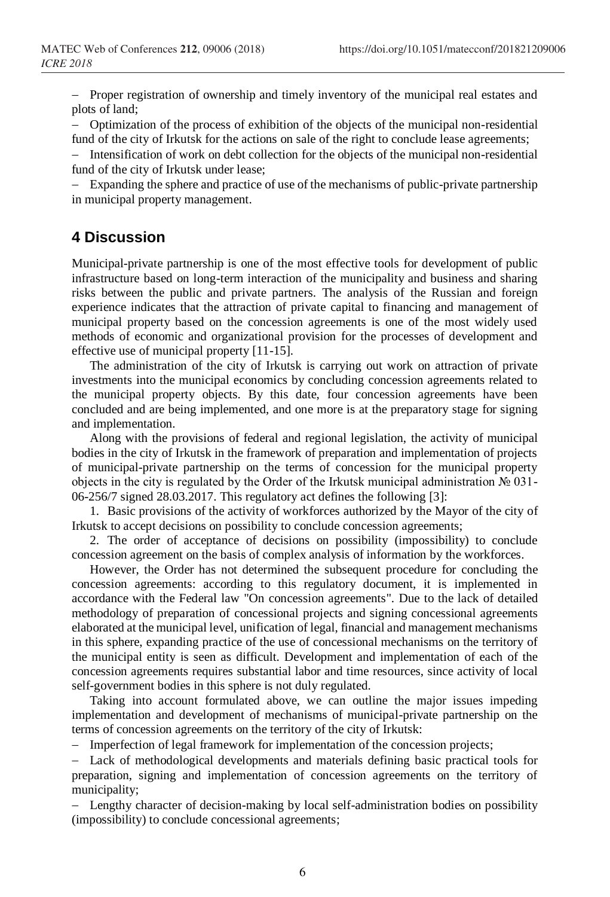− Proper registration of ownership and timely inventory of the municipal real estates and plots of land;

− Optimization of the process of exhibition of the objects of the municipal non-residential fund of the city of Irkutsk for the actions on sale of the right to conclude lease agreements;

− Intensification of work on debt collection for the objects of the municipal non-residential fund of the city of Irkutsk under lease;

− Expanding the sphere and practice of use of the mechanisms of public-private partnership in municipal property management.

### **4 Discussion**

Municipal-private partnership is one of the most effective tools for development of public infrastructure based on long-term interaction of the municipality and business and sharing risks between the public and private partners. The analysis of the Russian and foreign experience indicates that the attraction of private capital to financing and management of municipal property based on the concession agreements is one of the most widely used methods of economic and organizational provision for the processes of development and effective use of municipal property [11-15].

The administration of the city of Irkutsk is carrying out work on attraction of private investments into the municipal economics by concluding concession agreements related to the municipal property objects. By this date, four concession agreements have been concluded and are being implemented, and one more is at the preparatory stage for signing and implementation.

Along with the provisions of federal and regional legislation, the activity of municipal bodies in the city of Irkutsk in the framework of preparation and implementation of projects of municipal-private partnership on the terms of concession for the municipal property objects in the city is regulated by the Order of the Irkutsk municipal administration № 031- 06-256/7 signed 28.03.2017. This regulatory act defines the following [3]:

1. Basic provisions of the activity of workforces authorized by the Mayor of the city of Irkutsk to accept decisions on possibility to conclude concession agreements;

2. The order of acceptance of decisions on possibility (impossibility) to conclude concession agreement on the basis of complex analysis of information by the workforces.

However, the Order has not determined the subsequent procedure for concluding the concession agreements: according to this regulatory document, it is implemented in accordance with the Federal law "On concession agreements". Due to the lack of detailed methodology of preparation of concessional projects and signing concessional agreements elaborated atthe municipallevel, unification of legal, financial and management mechanisms in this sphere, expanding practice of the use of concessional mechanisms on the territory of the municipal entity is seen as difficult. Development and implementation of each of the concession agreements requires substantial labor and time resources, since activity of local self-government bodies in this sphere is not duly regulated.

Taking into account formulated above, we can outline the major issues impeding implementation and development of mechanisms of municipal-private partnership on the terms of concession agreements on the territory of the city of Irkutsk:

− Imperfection of legal framework for implementation of the concession projects;

− Lack of methodological developments and materials defining basic practical tools for preparation, signing and implementation of concession agreements on the territory of municipality;

− Lengthy character of decision-making by local self-administration bodies on possibility (impossibility) to conclude concessional agreements;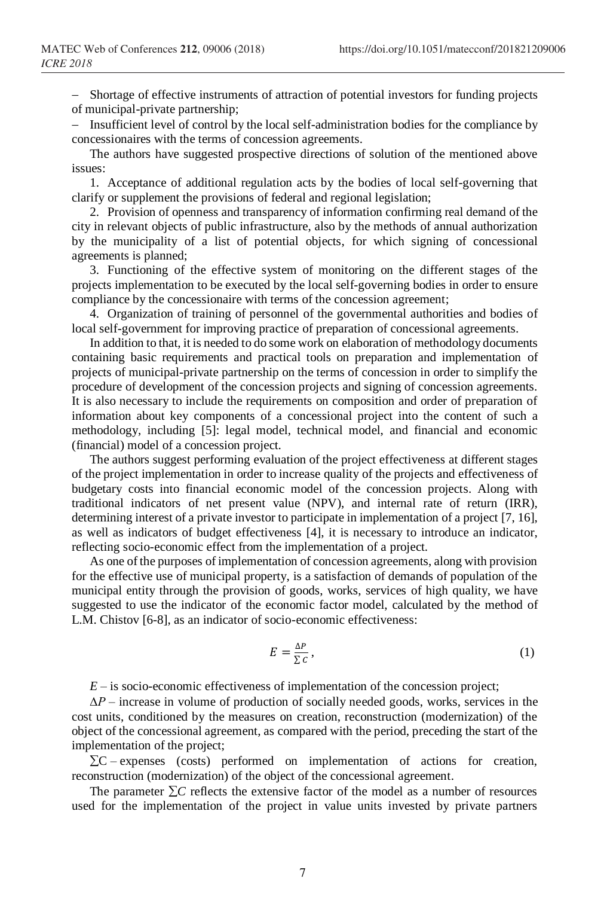− Shortage of effective instruments of attraction of potential investors for funding projects of municipal-private partnership;

− Insufficient level of control by the local self-administration bodies for the compliance by concessionaires with the terms of concession agreements.

The authors have suggested prospective directions of solution of the mentioned above issues:

1. Acceptance of additional regulation acts by the bodies of local self-governing that clarify or supplement the provisions of federal and regional legislation;

2. Provision of openness and transparency of information confirming real demand of the city in relevant objects of public infrastructure, also by the methods of annual authorization by the municipality of a list of potential objects, for which signing of concessional agreements is planned;

3. Functioning of the effective system of monitoring on the different stages of the projects implementation to be executed by the local self-governing bodies in order to ensure compliance by the concessionaire with terms of the concession agreement;

4. Organization of training of personnel of the governmental authorities and bodies of local self-government for improving practice of preparation of concessional agreements.

In addition to that, it is needed to do some work on elaboration of methodology documents containing basic requirements and practical tools on preparation and implementation of projects of municipal-private partnership on the terms of concession in order to simplify the procedure of development of the concession projects and signing of concession agreements. It is also necessary to include the requirements on composition and order of preparation of information about key components of a concessional project into the content of such a methodology, including [5]: legal model, technical model, and financial and economic (financial) model of a concession project.

The authors suggest performing evaluation of the project effectiveness at different stages of the project implementation in order to increase quality of the projects and effectiveness of budgetary costs into financial economic model of the concession projects. Along with traditional indicators of net present value (NPV), and internal rate of return (IRR), determining interest of a private investor to participate in implementation of a project [7, 16], as well as indicators of budget effectiveness [4], it is necessary to introduce an indicator, reflecting socio-economic effect from the implementation of a project.

As one of the purposes of implementation of concession agreements, along with provision for the effective use of municipal property, is a satisfaction of demands of population of the municipal entity through the provision of goods, works, services of high quality, we have suggested to use the indicator of the economic factor model, calculated by the method of L.M. Chistov [6-8], as an indicator of socio-economic effectiveness:

$$
E = \frac{\Delta P}{\Sigma c},\tag{1}
$$

*E* – is socio-economic effectiveness of implementation of the concession project;

 $\Delta P$  – increase in volume of production of socially needed goods, works, services in the cost units, conditioned by the measures on creation, reconstruction (modernization) of the object of the concessional agreement, as compared with the period, preceding the start of the implementation of the project;

 $\Sigma$ C – expenses (costs) performed on implementation of actions for creation, reconstruction (modernization) of the object of the concessional agreement.

The parameter  $\Sigma C$  reflects the extensive factor of the model as a number of resources used for the implementation of the project in value units invested by private partners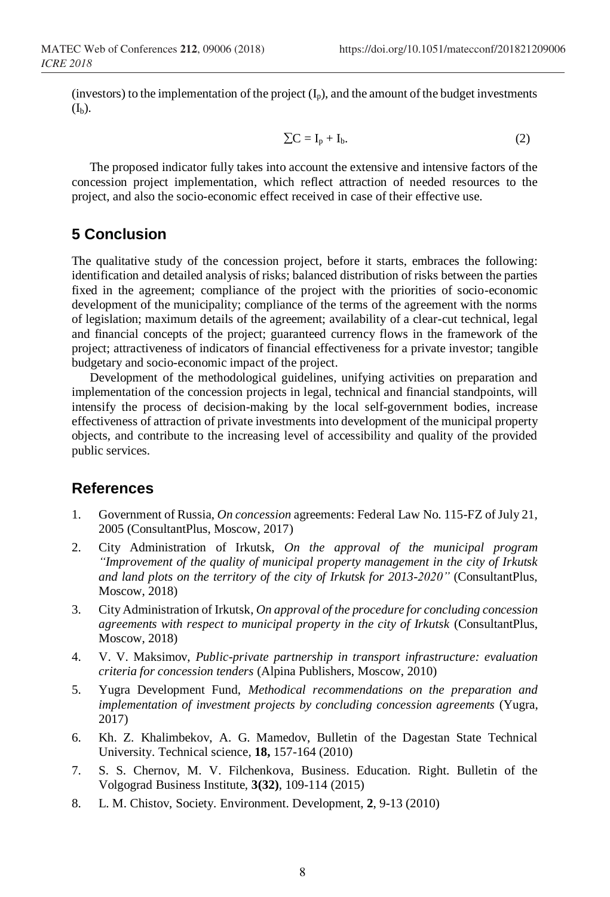(investors) to the implementation of the project  $(I_p)$ , and the amount of the budget investments  $(I<sub>b</sub>)$ .

$$
\sum C = I_p + I_b.
$$
 (2)

The proposed indicator fully takes into account the extensive and intensive factors of the concession project implementation, which reflect attraction of needed resources to the project, and also the socio-economic effect received in case of their effective use.

## **5 Conclusion**

The qualitative study of the concession project, before it starts, embraces the following: identification and detailed analysis of risks; balanced distribution of risks between the parties fixed in the agreement; compliance of the project with the priorities of socio-economic development of the municipality; compliance of the terms of the agreement with the norms of legislation; maximum details of the agreement; availability of a clear-cut technical, legal and financial concepts of the project; guaranteed currency flows in the framework of the project; attractiveness of indicators of financial effectiveness for a private investor; tangible budgetary and socio-economic impact of the project.

Development of the methodological guidelines, unifying activities on preparation and implementation of the concession projects in legal, technical and financial standpoints, will intensify the process of decision-making by the local self-government bodies, increase effectiveness of attraction of private investments into development of the municipal property objects, and contribute to the increasing level of accessibility and quality of the provided public services.

#### **References**

- 1. Government of Russia, *On concession* agreements: Federal Law No. 115-FZ of July 21, 2005 (ConsultantPlus, Moscow, 2017)
- 2. City Administration of Irkutsk, *On the approval of the municipal program "Improvement of the quality of municipal property management in the city of Irkutsk*  and land plots on the territory of the city of Irkutsk for 2013-2020" (ConsultantPlus, Moscow, 2018)
- 3. City Administration of Irkutsk, *On approval of the procedure for concluding concession agreements with respect to municipal property in the city of Irkutsk* (ConsultantPlus, Moscow, 2018)
- 4. V. V. Maksimov, *Public-private partnership in transport infrastructure: evaluation criteria for concession tenders* (Alpina Publishers, Moscow, 2010)
- 5. Yugra Development Fund, *Methodical recommendations on the preparation and implementation of investment projects by concluding concession agreements* (Yugra, 2017)
- 6. Kh. Z. Khalimbekov, A. G. Mamedov, Bulletin of the Dagestan State Technical University. Technical science, **18,** 157-164 (2010)
- 7. S. S. Chernov, M. V. Filchenkova, Business. Education. Right. Bulletin of the Volgograd Business Institute, **3(32)**, 109-114 (2015)
- 8. L. M. Chistov, Society. Environment. Development, **2**, 9-13 (2010)